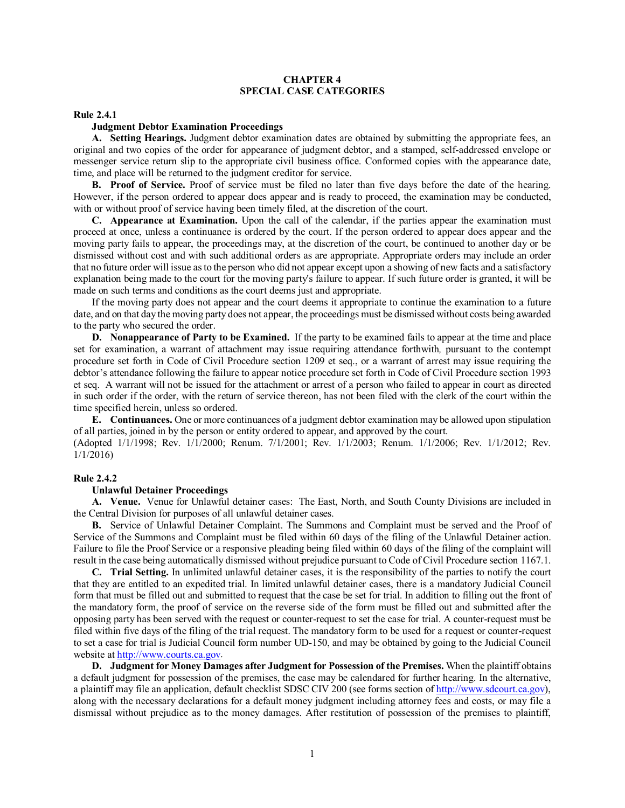# **CHAPTER 4 SPECIAL CASE CATEGORIES**

### **Rule 2.4.1**

## **Judgment Debtor Examination Proceedings**

**A. Setting Hearings.** Judgment debtor examination dates are obtained by submitting the appropriate fees, an original and two copies of the order for appearance of judgment debtor, and a stamped, self-addressed envelope or messenger service return slip to the appropriate civil business office. Conformed copies with the appearance date, time, and place will be returned to the judgment creditor for service.

**B. Proof of Service.** Proof of service must be filed no later than five days before the date of the hearing. However, if the person ordered to appear does appear and is ready to proceed, the examination may be conducted, with or without proof of service having been timely filed, at the discretion of the court.

**C. Appearance at Examination.** Upon the call of the calendar, if the parties appear the examination must proceed at once, unless a continuance is ordered by the court. If the person ordered to appear does appear and the moving party fails to appear, the proceedings may, at the discretion of the court, be continued to another day or be dismissed without cost and with such additional orders as are appropriate. Appropriate orders may include an order that no future order will issue as to the person who did not appear except upon a showing of new facts and a satisfactory explanation being made to the court for the moving party's failure to appear. If such future order is granted, it will be made on such terms and conditions as the court deems just and appropriate.

If the moving party does not appear and the court deems it appropriate to continue the examination to a future date, and on that day the moving party does not appear, the proceedings must be dismissed without costs being awarded to the party who secured the order.

**D. Nonappearance of Party to be Examined.** If the party to be examined fails to appear at the time and place set for examination, a warrant of attachment may issue requiring attendance forthwith*,* pursuant to the contempt procedure set forth in Code of Civil Procedure section 1209 et seq., or a warrant of arrest may issue requiring the debtor's attendance following the failure to appear notice procedure set forth in Code of Civil Procedure section 1993 et seq. A warrant will not be issued for the attachment or arrest of a person who failed to appear in court as directed in such order if the order, with the return of service thereon, has not been filed with the clerk of the court within the time specified herein, unless so ordered.

**E. Continuances.** One or more continuances of a judgment debtor examination may be allowed upon stipulation of all parties, joined in by the person or entity ordered to appear, and approved by the court.

(Adopted 1/1/1998; Rev. 1/1/2000; Renum. 7/1/2001; Rev. 1/1/2003; Renum. 1/1/2006; Rev. 1/1/2012; Rev. 1/1/2016)

### **Rule 2.4.2**

## **Unlawful Detainer Proceedings**

**A. Venue.** Venue for Unlawful detainer cases: The East, North, and South County Divisions are included in the Central Division for purposes of all unlawful detainer cases.

**B.** Service of Unlawful Detainer Complaint. The Summons and Complaint must be served and the Proof of Service of the Summons and Complaint must be filed within 60 days of the filing of the Unlawful Detainer action. Failure to file the Proof Service or a responsive pleading being filed within 60 days of the filing of the complaint will result in the case being automatically dismissed without prejudice pursuant to Code of Civil Procedure section 1167.1.

**C. Trial Setting.** In unlimited unlawful detainer cases, it is the responsibility of the parties to notify the court that they are entitled to an expedited trial. In limited unlawful detainer cases, there is a mandatory Judicial Council form that must be filled out and submitted to request that the case be set for trial. In addition to filling out the front of the mandatory form, the proof of service on the reverse side of the form must be filled out and submitted after the opposing party has been served with the request or counter-request to set the case for trial. A counter-request must be filed within five days of the filing of the trial request. The mandatory form to be used for a request or counter-request to set a case for trial is Judicial Council form number UD-150, and may be obtained by going to the Judicial Council website at [http://www.courts.ca.gov.](http://www.courts.ca.gov/)

**D. Judgment for Money Damages after Judgment for Possession of the Premises.** When the plaintiff obtains a default judgment for possession of the premises, the case may be calendared for further hearing. In the alternative, a plaintiff may file an application, default checklist SDSC CIV 200 (see forms section of [http://www.sdcourt.ca.gov\)](http://www.sdcourt.ca.gov/), along with the necessary declarations for a default money judgment including attorney fees and costs, or may file a dismissal without prejudice as to the money damages. After restitution of possession of the premises to plaintiff,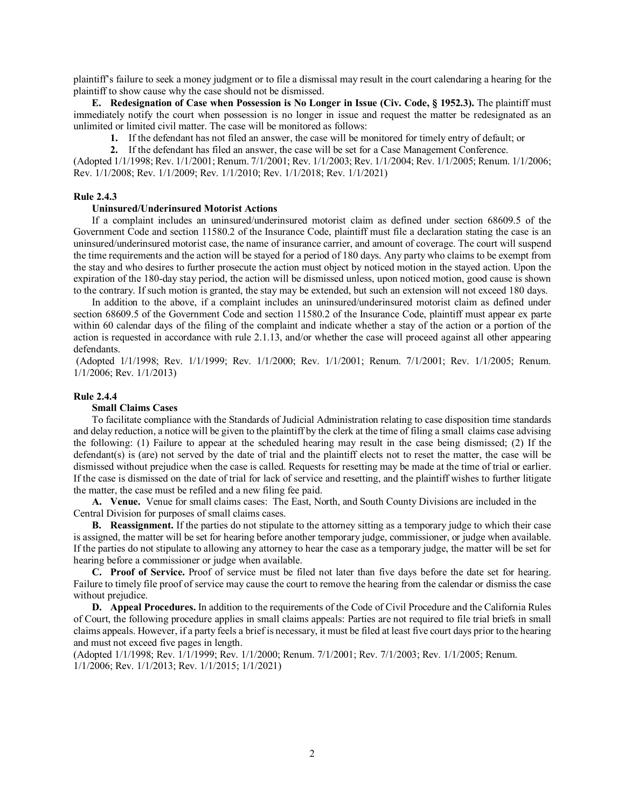plaintiff's failure to seek a money judgment or to file a dismissal may result in the court calendaring a hearing for the plaintiff to show cause why the case should not be dismissed.

**E. Redesignation of Case when Possession is No Longer in Issue (Civ. Code, § 1952.3).** The plaintiff must immediately notify the court when possession is no longer in issue and request the matter be redesignated as an unlimited or limited civil matter. The case will be monitored as follows:

**1.** If the defendant has not filed an answer, the case will be monitored for timely entry of default; or

**2.** If the defendant has filed an answer, the case will be set for a Case Management Conference.

(Adopted 1/1/1998; Rev. 1/1/2001; Renum. 7/1/2001; Rev. 1/1/2003; Rev. 1/1/2004; Rev. 1/1/2005; Renum. 1/1/2006; Rev. 1/1/2008; Rev. 1/1/2009; Rev. 1/1/2010; Rev. 1/1/2018; Rev. 1/1/2021)

## **Rule 2.4.3**

## **Uninsured/Underinsured Motorist Actions**

If a complaint includes an uninsured/underinsured motorist claim as defined under section 68609.5 of the Government Code and section 11580.2 of the Insurance Code, plaintiff must file a declaration stating the case is an uninsured/underinsured motorist case, the name of insurance carrier, and amount of coverage. The court will suspend the time requirements and the action will be stayed for a period of 180 days. Any party who claims to be exempt from the stay and who desires to further prosecute the action must object by noticed motion in the stayed action. Upon the expiration of the 180-day stay period, the action will be dismissed unless, upon noticed motion, good cause is shown to the contrary. If such motion is granted, the stay may be extended, but such an extension will not exceed 180 days.

In addition to the above, if a complaint includes an uninsured/underinsured motorist claim as defined under section 68609.5 of the Government Code and section 11580.2 of the Insurance Code, plaintiff must appear ex parte within 60 calendar days of the filing of the complaint and indicate whether a stay of the action or a portion of the action is requested in accordance with rule 2.1.13, and/or whether the case will proceed against all other appearing defendants.

(Adopted 1/1/1998; Rev. 1/1/1999; Rev. 1/1/2000; Rev. 1/1/2001; Renum. 7/1/2001; Rev. 1/1/2005; Renum. 1/1/2006; Rev. 1/1/2013)

## **Rule 2.4.4**

# **Small Claims Cases**

To facilitate compliance with the Standards of Judicial Administration relating to case disposition time standards and delay reduction, a notice will be given to the plaintiff by the clerk at the time of filing a small claims case advising the following: (1) Failure to appear at the scheduled hearing may result in the case being dismissed; (2) If the defendant(s) is (are) not served by the date of trial and the plaintiff elects not to reset the matter, the case will be dismissed without prejudice when the case is called. Requests for resetting may be made at the time of trial or earlier. If the case is dismissed on the date of trial for lack of service and resetting, and the plaintiff wishes to further litigate the matter, the case must be refiled and a new filing fee paid.

**A. Venue.** Venue for small claims cases: The East, North, and South County Divisions are included in the Central Division for purposes of small claims cases.

**B. Reassignment.** If the parties do not stipulate to the attorney sitting as a temporary judge to which their case is assigned, the matter will be set for hearing before another temporary judge, commissioner, or judge when available. If the parties do not stipulate to allowing any attorney to hear the case as a temporary judge, the matter will be set for hearing before a commissioner or judge when available.

**C. Proof of Service.** Proof of service must be filed not later than five days before the date set for hearing. Failure to timely file proof of service may cause the court to remove the hearing from the calendar or dismiss the case without prejudice.

**D. Appeal Procedures.** In addition to the requirements of the Code of Civil Procedure and the California Rules of Court, the following procedure applies in small claims appeals: Parties are not required to file trial briefs in small claims appeals. However, if a party feels a brief is necessary, it must be filed at least five court days prior to the hearing and must not exceed five pages in length.

(Adopted 1/1/1998; Rev. 1/1/1999; Rev. 1/1/2000; Renum. 7/1/2001; Rev. 7/1/2003; Rev. 1/1/2005; Renum. 1/1/2006; Rev. 1/1/2013; Rev. 1/1/2015; 1/1/2021)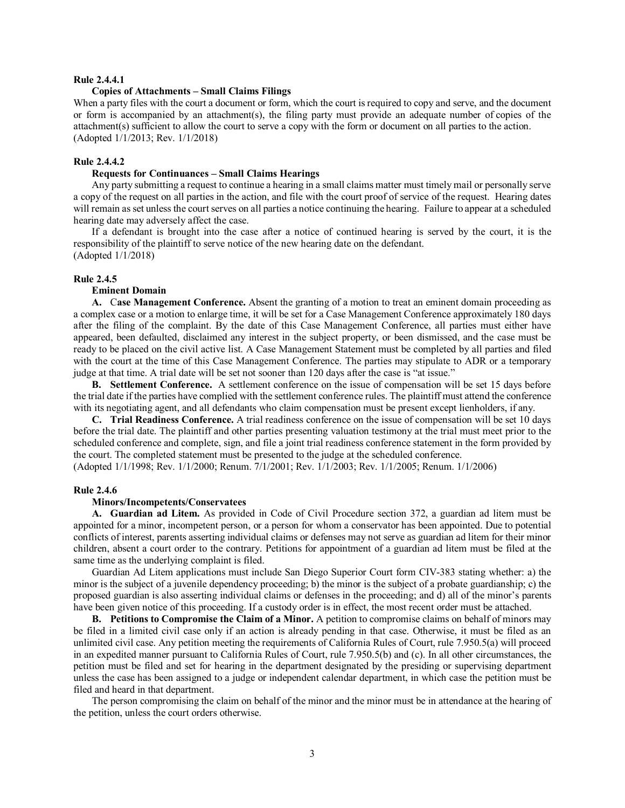# **Rule 2.4.4.1**

## **Copies of Attachments – Small Claims Filings**

When a party files with the court a document or form, which the court is required to copy and serve, and the document or form is accompanied by an attachment(s), the filing party must provide an adequate number of copies of the attachment(s) sufficient to allow the court to serve a copy with the form or document on all parties to the action. (Adopted 1/1/2013; Rev. 1/1/2018)

## **Rule 2.4.4.2**

# **Requests for Continuances – Small Claims Hearings**

Any party submitting a request to continue a hearing in a small claims matter must timely mail or personally serve a copy of the request on all parties in the action, and file with the court proof of service of the request. Hearing dates will remain as set unless the court serves on all parties a notice continuing the hearing. Failure to appear at a scheduled hearing date may adversely affect the case.

If a defendant is brought into the case after a notice of continued hearing is served by the court, it is the responsibility of the plaintiff to serve notice of the new hearing date on the defendant. (Adopted 1/1/2018)

### **Rule 2.4.5**

### **Eminent Domain**

**A.** C**ase Management Conference.** Absent the granting of a motion to treat an eminent domain proceeding as a complex case or a motion to enlarge time, it will be set for a Case Management Conference approximately 180 days after the filing of the complaint. By the date of this Case Management Conference, all parties must either have appeared, been defaulted, disclaimed any interest in the subject property, or been dismissed, and the case must be ready to be placed on the civil active list. A Case Management Statement must be completed by all parties and filed with the court at the time of this Case Management Conference. The parties may stipulate to ADR or a temporary judge at that time. A trial date will be set not sooner than 120 days after the case is "at issue."

**B. Settlement Conference.** A settlement conference on the issue of compensation will be set 15 days before the trial date if the parties have complied with the settlement conference rules. The plaintiff must attend the conference with its negotiating agent, and all defendants who claim compensation must be present except lienholders, if any.

**C. Trial Readiness Conference.** A trial readiness conference on the issue of compensation will be set 10 days before the trial date. The plaintiff and other parties presenting valuation testimony at the trial must meet prior to the scheduled conference and complete, sign, and file a joint trial readiness conference statement in the form provided by the court. The completed statement must be presented to the judge at the scheduled conference. (Adopted 1/1/1998; Rev. 1/1/2000; Renum. 7/1/2001; Rev. 1/1/2003; Rev. 1/1/2005; Renum. 1/1/2006)

# **Rule 2.4.6**

### **Minors/Incompetents/Conservatees**

**A. Guardian ad Litem.** As provided in Code of Civil Procedure section 372, a guardian ad litem must be appointed for a minor, incompetent person, or a person for whom a conservator has been appointed. Due to potential conflicts of interest, parents asserting individual claims or defenses may not serve as guardian ad litem for their minor children, absent a court order to the contrary. Petitions for appointment of a guardian ad litem must be filed at the same time as the underlying complaint is filed.

Guardian Ad Litem applications must include San Diego Superior Court form CIV-383 stating whether: a) the minor is the subject of a juvenile dependency proceeding; b) the minor is the subject of a probate guardianship; c) the proposed guardian is also asserting individual claims or defenses in the proceeding; and d) all of the minor's parents have been given notice of this proceeding. If a custody order is in effect, the most recent order must be attached.

**B. Petitions to Compromise the Claim of a Minor.** A petition to compromise claims on behalf of minors may be filed in a limited civil case only if an action is already pending in that case. Otherwise, it must be filed as an unlimited civil case. Any petition meeting the requirements of California Rules of Court, rule 7.950.5(a) will proceed in an expedited manner pursuant to California Rules of Court, rule 7.950.5(b) and (c). In all other circumstances, the petition must be filed and set for hearing in the department designated by the presiding or supervising department unless the case has been assigned to a judge or independent calendar department, in which case the petition must be filed and heard in that department.

The person compromising the claim on behalf of the minor and the minor must be in attendance at the hearing of the petition, unless the court orders otherwise.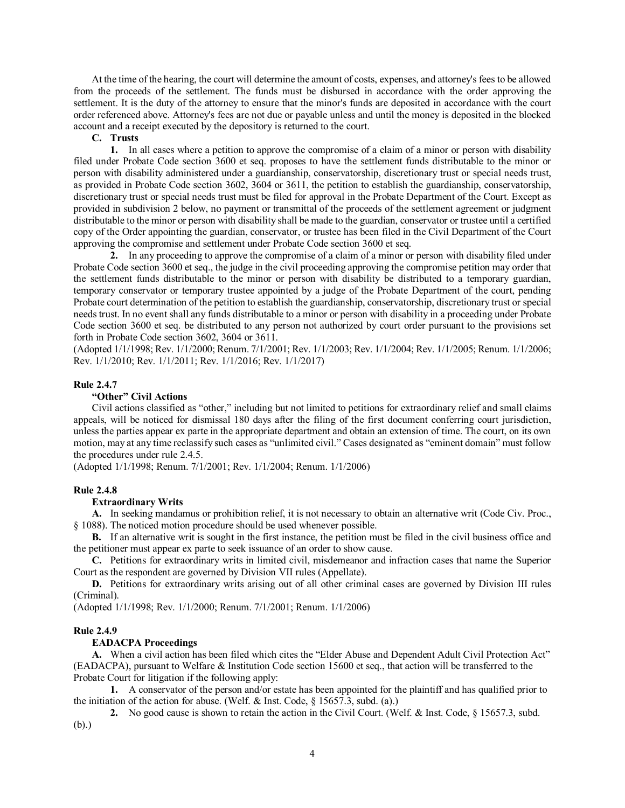At the time of the hearing, the court will determine the amount of costs, expenses, and attorney's fees to be allowed from the proceeds of the settlement. The funds must be disbursed in accordance with the order approving the settlement. It is the duty of the attorney to ensure that the minor's funds are deposited in accordance with the court order referenced above. Attorney's fees are not due or payable unless and until the money is deposited in the blocked account and a receipt executed by the depository is returned to the court.

**C. Trusts**

**1.** In all cases where a petition to approve the compromise of a claim of a minor or person with disability filed under Probate Code section 3600 et seq. proposes to have the settlement funds distributable to the minor or person with disability administered under a guardianship, conservatorship, discretionary trust or special needs trust, as provided in Probate Code section 3602, 3604 or 3611, the petition to establish the guardianship, conservatorship, discretionary trust or special needs trust must be filed for approval in the Probate Department of the Court. Except as provided in subdivision 2 below, no payment or transmittal of the proceeds of the settlement agreement or judgment distributable to the minor or person with disability shall be made to the guardian, conservator or trustee until a certified copy of the Order appointing the guardian, conservator, or trustee has been filed in the Civil Department of the Court approving the compromise and settlement under Probate Code section 3600 et seq.

**2.** In any proceeding to approve the compromise of a claim of a minor or person with disability filed under Probate Code section 3600 et seq., the judge in the civil proceeding approving the compromise petition may order that the settlement funds distributable to the minor or person with disability be distributed to a temporary guardian, temporary conservator or temporary trustee appointed by a judge of the Probate Department of the court, pending Probate court determination of the petition to establish the guardianship, conservatorship, discretionary trust or special needs trust. In no event shall any funds distributable to a minor or person with disability in a proceeding under Probate Code section 3600 et seq. be distributed to any person not authorized by court order pursuant to the provisions set forth in Probate Code section 3602, 3604 or 3611.

(Adopted 1/1/1998; Rev. 1/1/2000; Renum. 7/1/2001; Rev. 1/1/2003; Rev. 1/1/2004; Rev. 1/1/2005; Renum. 1/1/2006; Rev. 1/1/2010; Rev. 1/1/2011; Rev. 1/1/2016; Rev. 1/1/2017)

## **Rule 2.4.7**

## **"Other" Civil Actions**

Civil actions classified as "other," including but not limited to petitions for extraordinary relief and small claims appeals, will be noticed for dismissal 180 days after the filing of the first document conferring court jurisdiction, unless the parties appear ex parte in the appropriate department and obtain an extension of time. The court, on its own motion, may at any time reclassify such cases as "unlimited civil." Cases designated as "eminent domain" must follow the procedures under rule 2.4.5.

(Adopted 1/1/1998; Renum. 7/1/2001; Rev. 1/1/2004; Renum. 1/1/2006)

## **Rule 2.4.8**

## **Extraordinary Writs**

**A.** In seeking mandamus or prohibition relief, it is not necessary to obtain an alternative writ (Code Civ. Proc., § 1088). The noticed motion procedure should be used whenever possible.

**B.** If an alternative writ is sought in the first instance, the petition must be filed in the civil business office and the petitioner must appear ex parte to seek issuance of an order to show cause.

**C.** Petitions for extraordinary writs in limited civil, misdemeanor and infraction cases that name the Superior Court as the respondent are governed by Division VII rules (Appellate).

**D.** Petitions for extraordinary writs arising out of all other criminal cases are governed by Division III rules (Criminal).

(Adopted 1/1/1998; Rev. 1/1/2000; Renum. 7/1/2001; Renum. 1/1/2006)

### **Rule 2.4.9**

#### **EADACPA Proceedings**

**A.** When a civil action has been filed which cites the "Elder Abuse and Dependent Adult Civil Protection Act" (EADACPA), pursuant to Welfare & Institution Code section 15600 et seq., that action will be transferred to the Probate Court for litigation if the following apply:

**1.** A conservator of the person and/or estate has been appointed for the plaintiff and has qualified prior to the initiation of the action for abuse. (Welf. & Inst. Code, § 15657.3, subd. (a).)

**2.** No good cause is shown to retain the action in the Civil Court. (Welf. & Inst. Code, § 15657.3, subd. (b).)